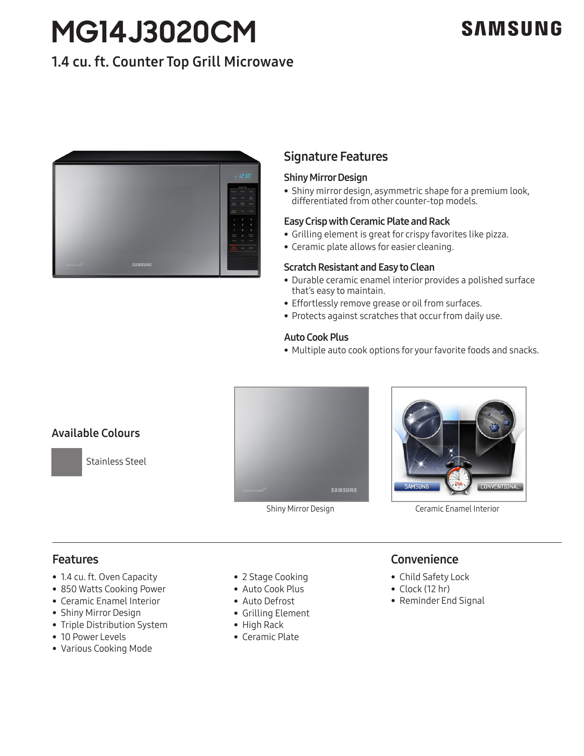# **MG14J3020CM**

# **SAMSUNG**

# 1.4 cu. ft. Counter Top Grill Microwave



# Signature Features

#### Shiny Mirror Design

• Shiny mirror design, asymmetric shape for a premium look, differentiated from other counter-top models.

#### Easy Crisp with Ceramic Plate and Rack

- Grilling element is great for crispy favorites like pizza.
- Ceramic plate allows for easier cleaning.

#### Scratch Resistant and Easy to Clean

- Durable ceramic enamel interior provides a polished surface that's easy to maintain.
- Effortlessly remove grease or oil from surfaces.
- Protects against scratches that occur from daily use.

#### Auto Cook Plus

• Multiple auto cook options for your favorite foods and snacks.



Shiny Mirror Design Ceramic Enamel Interior

# Features

- 1.4 cu. ft. Oven Capacity
- 850 Watts Cooking Power
- Ceramic Enamel Interior
- Shiny Mirror Design
- Triple Distribution System
- 10 Power Levels
- Various Cooking Mode
- 2 Stage Cooking
- Auto Cook Plus
- Auto Defrost
- Grilling Element
- High Rack
- Ceramic Plate

# **Convenience**

- Child Safety Lock
- Clock (12 hr)
- Reminder End Signal